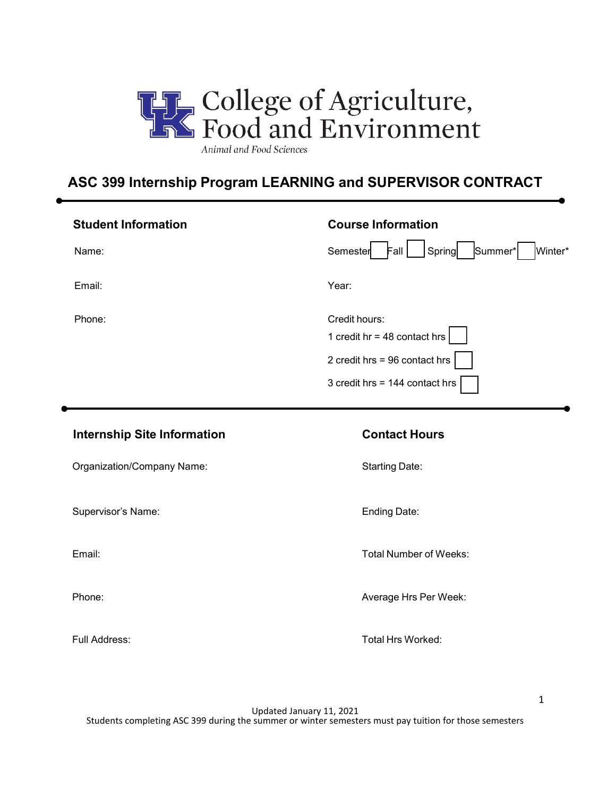

# **ASC 399 Internship Program LEARNING and SUPERVISOR CONTRACT**

| <b>Student Information</b> | <b>Course Information</b>                                                                                            |
|----------------------------|----------------------------------------------------------------------------------------------------------------------|
| Name:                      | Summer <sup>*</sup><br>Winter*<br>Semester<br>Fall<br>Spring                                                         |
| Email:                     | Year:                                                                                                                |
| Phone:                     | Credit hours:<br>1 credit hr = 48 contact hrs $ $<br>2 credit hrs = 96 contact hrs<br>3 credit hrs = 144 contact hrs |

### **Internship Site Information Contact Hours**

| Organization/Company Name: |  |
|----------------------------|--|
|----------------------------|--|

Supervisor's Name: Ending Date:

Starting Date:

Email: Email: Email: Total Number of Weeks: Total Number of Weeks:

Phone: Phone: Average Hrs Per Week:

Full Address: Total Hrs Worked:

Updated January 11, 2021 Students completing ASC 399 during the summer or winter semesters must pay tuition for those semesters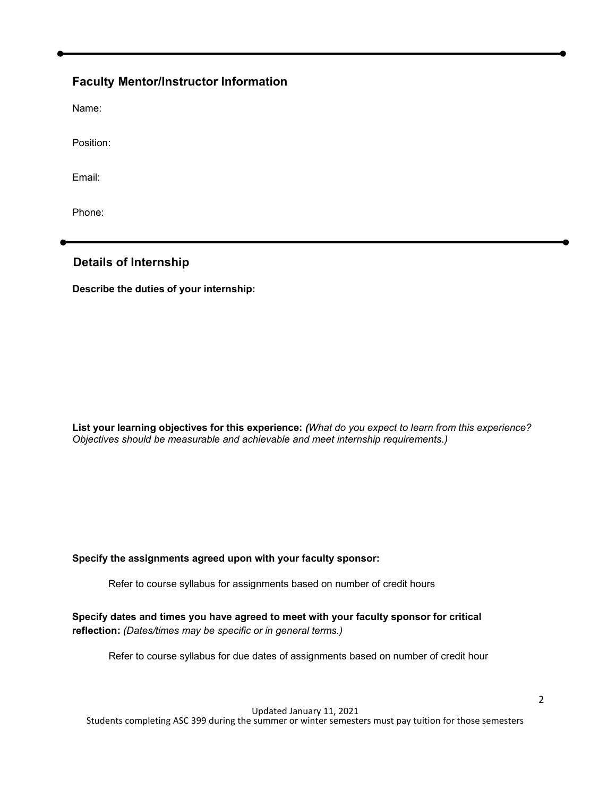## **Faculty Mentor/Instructor Information**

Name:

Position:

Email:

Phone:

#### **Details of Internship**

**Describe the duties of your internship:**

**List your learning objectives for this experience:** *(What do you expect to learn from this experience? Objectives should be measurable and achievable and meet internship requirements.)*

#### **Specify the assignments agreed upon with your faculty sponsor:**

Refer to course syllabus for assignments based on number of credit hours

**Specify dates and times you have agreed to meet with your faculty sponsor for critical reflection:** *(Dates/times may be specific or in general terms.)*

Refer to course syllabus for due dates of assignments based on number of credit hour